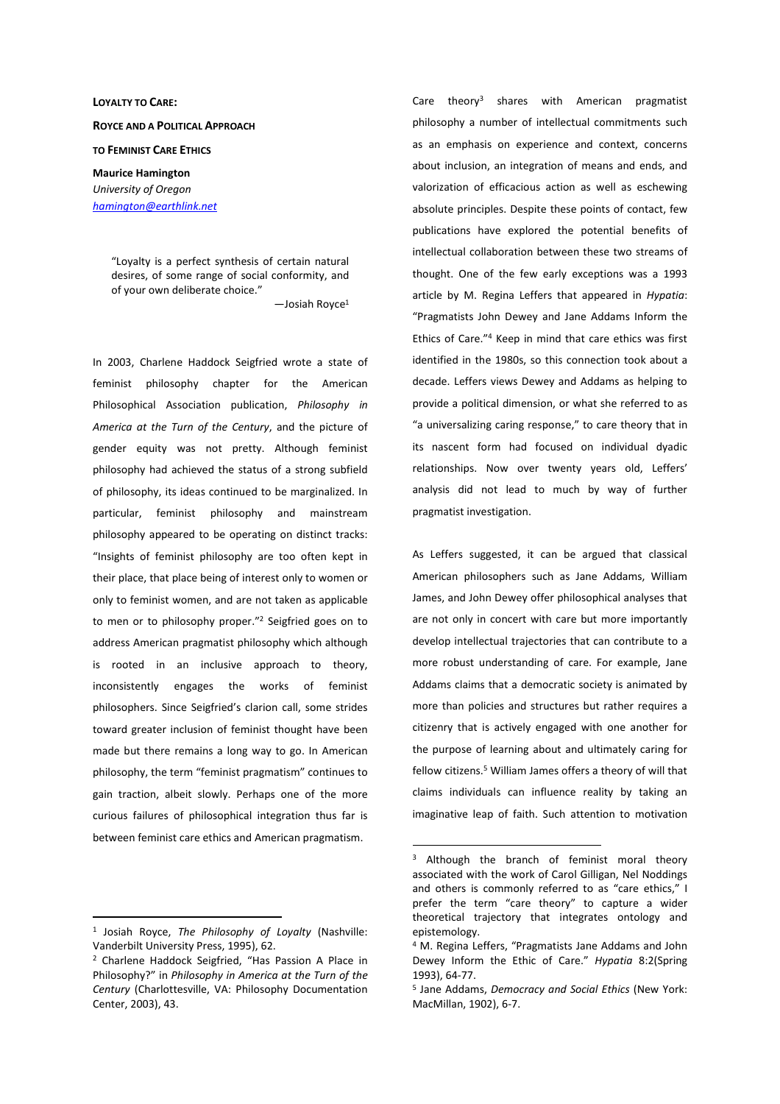# **LOYALTY TO CARE: ROYCE AND A POLITICAL APPROACH**

## **TO FEMINIST CARE ETHICS**

**Maurice Hamington** *University of Oregon hamington@earthlink.net*

> "Loyalty is a perfect synthesis of certain natural desires, of some range of social conformity, and of your own deliberate choice."

> > —Josiah Royce<sup>1</sup>

In 2003, Charlene Haddock Seigfried wrote a state of feminist philosophy chapter for the American Philosophical Association publication, *Philosophy in America at the Turn of the Century*, and the picture of gender equity was not pretty. Although feminist philosophy had achieved the status of a strong subfield of philosophy, its ideas continued to be marginalized. In particular, feminist philosophy and mainstream philosophy appeared to be operating on distinct tracks: "Insights of feminist philosophy are too often kept in their place, that place being of interest only to women or only to feminist women, and are not taken as applicable to men or to philosophy proper."<sup>2</sup> Seigfried goes on to address American pragmatist philosophy which although is rooted in an inclusive approach to theory, inconsistently engages the works of feminist philosophers. Since Seigfried's clarion call, some strides toward greater inclusion of feminist thought have been made but there remains a long way to go. In American philosophy, the term "feminist pragmatism" continues to gain traction, albeit slowly. Perhaps one of the more curious failures of philosophical integration thus far is between feminist care ethics and American pragmatism.

1 Josiah Royce, *The Philosophy of Loyalty* (Nashville: Vanderbilt University Press, 1995), 62.

 $\overline{a}$ 

Care theory<sup>3</sup> shares with American pragmatist philosophy a number of intellectual commitments such as an emphasis on experience and context, concerns about inclusion, an integration of means and ends, and valorization of efficacious action as well as eschewing absolute principles. Despite these points of contact, few publications have explored the potential benefits of intellectual collaboration between these two streams of thought. One of the few early exceptions was a 1993 article by M. Regina Leffers that appeared in *Hypatia*: "Pragmatists John Dewey and Jane Addams Inform the Ethics of Care."<sup>4</sup> Keep in mind that care ethics was first identified in the 1980s, so this connection took about a decade. Leffers views Dewey and Addams as helping to provide a political dimension, or what she referred to as "a universalizing caring response," to care theory that in its nascent form had focused on individual dyadic relationships. Now over twenty years old, Leffers' analysis did not lead to much by way of further pragmatist investigation.

As Leffers suggested, it can be argued that classical American philosophers such as Jane Addams, William James, and John Dewey offer philosophical analyses that are not only in concert with care but more importantly develop intellectual trajectories that can contribute to a more robust understanding of care. For example, Jane Addams claims that a democratic society is animated by more than policies and structures but rather requires a citizenry that is actively engaged with one another for the purpose of learning about and ultimately caring for fellow citizens.<sup>5</sup> William James offers a theory of will that claims individuals can influence reality by taking an imaginative leap of faith. Such attention to motivation

<sup>2</sup> Charlene Haddock Seigfried, "Has Passion A Place in Philosophy?" in *Philosophy in America at the Turn of the Century* (Charlottesville, VA: Philosophy Documentation Center, 2003), 43.

<sup>&</sup>lt;sup>3</sup> Although the branch of feminist moral theory associated with the work of Carol Gilligan, Nel Noddings and others is commonly referred to as "care ethics," I prefer the term "care theory" to capture a wider theoretical trajectory that integrates ontology and epistemology.

<sup>4</sup> M. Regina Leffers, "Pragmatists Jane Addams and John Dewey Inform the Ethic of Care." *Hypatia* 8:2(Spring 1993), 64-77.

<sup>5</sup> Jane Addams, *Democracy and Social Ethics* (New York: MacMillan, 1902), 6-7.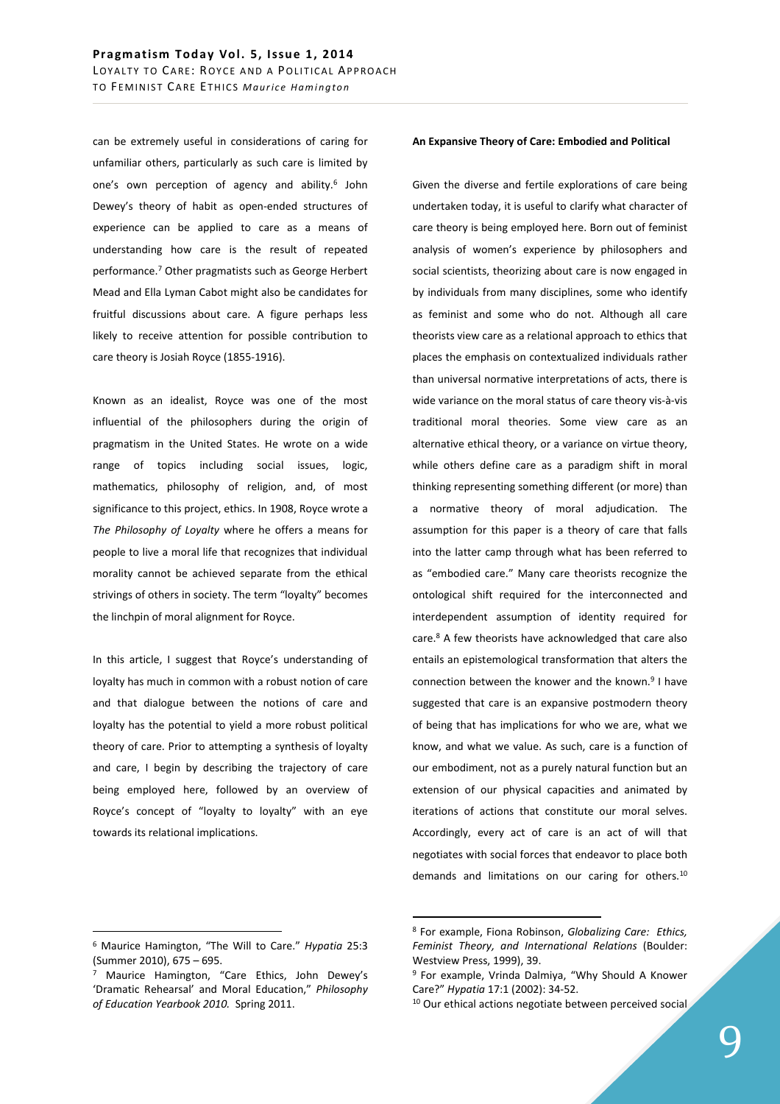can be extremely useful in considerations of caring for unfamiliar others, particularly as such care is limited by one's own perception of agency and ability.<sup>6</sup> John Dewey's theory of habit as open-ended structures of experience can be applied to care as a means of understanding how care is the result of repeated performance.<sup>7</sup> Other pragmatists such as George Herbert Mead and Ella Lyman Cabot might also be candidates for fruitful discussions about care. A figure perhaps less likely to receive attention for possible contribution to care theory is Josiah Royce (1855-1916).

Known as an idealist, Royce was one of the most influential of the philosophers during the origin of pragmatism in the United States. He wrote on a wide range of topics including social issues, logic, mathematics, philosophy of religion, and, of most significance to this project, ethics. In 1908, Royce wrote a *The Philosophy of Loyalty* where he offers a means for people to live a moral life that recognizes that individual morality cannot be achieved separate from the ethical strivings of others in society. The term "loyalty" becomes the linchpin of moral alignment for Royce.

In this article, I suggest that Royce's understanding of loyalty has much in common with a robust notion of care and that dialogue between the notions of care and loyalty has the potential to yield a more robust political theory of care. Prior to attempting a synthesis of loyalty and care, I begin by describing the trajectory of care being employed here, followed by an overview of Royce's concept of "loyalty to loyalty" with an eye towards its relational implications.

#### **An Expansive Theory of Care: Embodied and Political**

Given the diverse and fertile explorations of care being undertaken today, it is useful to clarify what character of care theory is being employed here. Born out of feminist analysis of women's experience by philosophers and social scientists, theorizing about care is now engaged in by individuals from many disciplines, some who identify as feminist and some who do not. Although all care theorists view care as a relational approach to ethics that places the emphasis on contextualized individuals rather than universal normative interpretations of acts, there is wide variance on the moral status of care theory vis-à-vis traditional moral theories. Some view care as an alternative ethical theory, or a variance on virtue theory, while others define care as a paradigm shift in moral thinking representing something different (or more) than a normative theory of moral adjudication. The assumption for this paper is a theory of care that falls into the latter camp through what has been referred to as "embodied care." Many care theorists recognize the ontological shift required for the interconnected and interdependent assumption of identity required for care.<sup>8</sup> A few theorists have acknowledged that care also entails an epistemological transformation that alters the connection between the knower and the known.<sup>9</sup> I have suggested that care is an expansive postmodern theory of being that has implications for who we are, what we know, and what we value. As such, care is a function of our embodiment, not as a purely natural function but an extension of our physical capacities and animated by iterations of actions that constitute our moral selves. Accordingly, every act of care is an act of will that negotiates with social forces that endeavor to place both demands and limitations on our caring for others.<sup>10</sup>

 $\overline{a}$ 

<sup>6</sup> Maurice Hamington, "The Will to Care." *Hypatia* 25:3 (Summer 2010), 675 – 695.

<sup>&</sup>lt;sup>7</sup> Maurice Hamington, "Care Ethics, John Dewey's 'Dramatic Rehearsal' and Moral Education," *Philosophy of Education Yearbook 2010.* Spring 2011.

<sup>8</sup> For example, Fiona Robinson, *Globalizing Care: Ethics, Feminist Theory, and International Relations* (Boulder: Westview Press, 1999), 39.

<sup>&</sup>lt;sup>9</sup> For example, Vrinda Dalmiya, "Why Should A Knower Care?" *Hypatia* 17:1 (2002): 34-52.

<sup>&</sup>lt;sup>10</sup> Our ethical actions negotiate between perceived social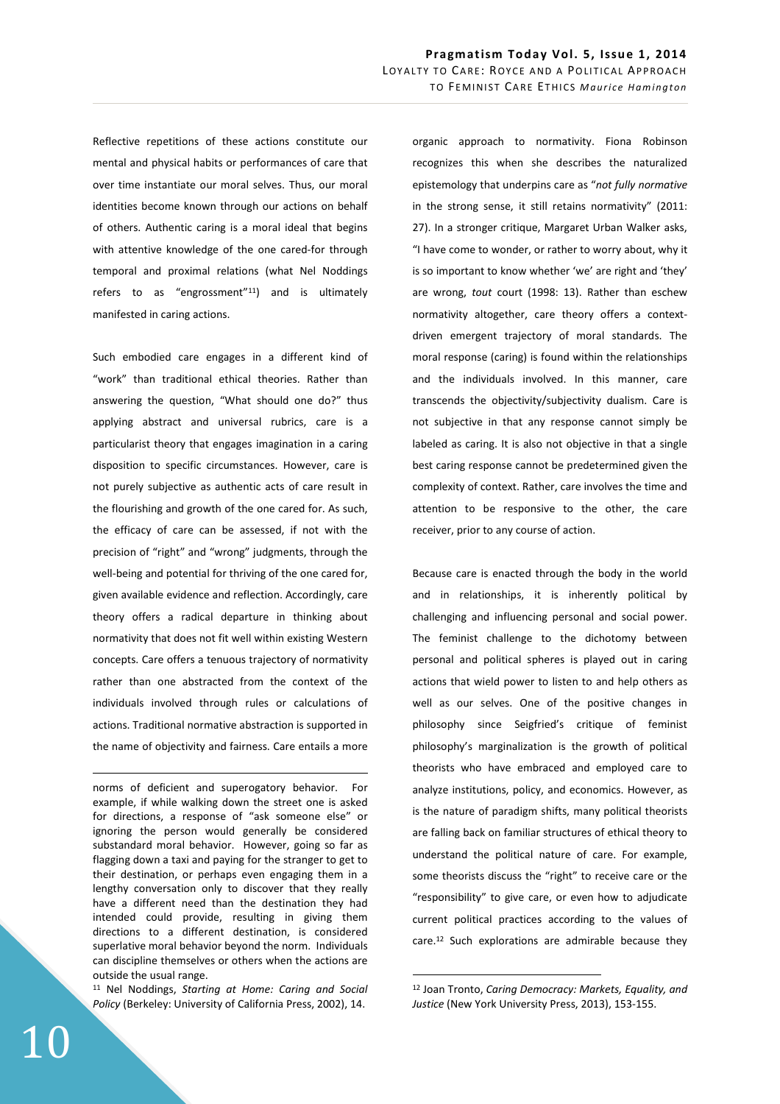Reflective repetitions of these actions constitute our mental and physical habits or performances of care that over time instantiate our moral selves. Thus, our moral identities become known through our actions on behalf of others. Authentic caring is a moral ideal that begins with attentive knowledge of the one cared-for through temporal and proximal relations (what Nel Noddings refers to as "engrossment"<sup>11</sup>) and is ultimately manifested in caring actions.

Such embodied care engages in a different kind of "work" than traditional ethical theories. Rather than answering the question, "What should one do?" thus applying abstract and universal rubrics, care is a particularist theory that engages imagination in a caring disposition to specific circumstances. However, care is not purely subjective as authentic acts of care result in the flourishing and growth of the one cared for. As such, the efficacy of care can be assessed, if not with the precision of "right" and "wrong" judgments, through the well-being and potential for thriving of the one cared for, given available evidence and reflection. Accordingly, care theory offers a radical departure in thinking about normativity that does not fit well within existing Western concepts. Care offers a tenuous trajectory of normativity rather than one abstracted from the context of the individuals involved through rules or calculations of actions. Traditional normative abstraction is supported in the name of objectivity and fairness. Care entails a more

norms of deficient and superogatory behavior. For example, if while walking down the street one is asked for directions, a response of "ask someone else" or ignoring the person would generally be considered substandard moral behavior. However, going so far as flagging down a taxi and paying for the stranger to get to their destination, or perhaps even engaging them in a lengthy conversation only to discover that they really have a different need than the destination they had intended could provide, resulting in giving them directions to a different destination, is considered superlative moral behavior beyond the norm. Individuals can discipline themselves or others when the actions are outside the usual range.

<sup>11</sup> Nel Noddings, *Starting at Home: Caring and Social Policy* (Berkeley: University of California Press, 2002), 14.

organic approach to normativity. Fiona Robinson recognizes this when she describes the naturalized epistemology that underpins care as "*not fully normative*  in the strong sense, it still retains normativity" (2011: 27). In a stronger critique, Margaret Urban Walker asks, "I have come to wonder, or rather to worry about, why it is so important to know whether 'we' are right and 'they' are wrong, *tout* court (1998: 13). Rather than eschew normativity altogether, care theory offers a contextdriven emergent trajectory of moral standards. The moral response (caring) is found within the relationships and the individuals involved. In this manner, care transcends the objectivity/subjectivity dualism. Care is not subjective in that any response cannot simply be labeled as caring. It is also not objective in that a single best caring response cannot be predetermined given the complexity of context. Rather, care involves the time and attention to be responsive to the other, the care receiver, prior to any course of action.

Because care is enacted through the body in the world and in relationships, it is inherently political by challenging and influencing personal and social power. The feminist challenge to the dichotomy between personal and political spheres is played out in caring actions that wield power to listen to and help others as well as our selves. One of the positive changes in philosophy since Seigfried's critique of feminist philosophy's marginalization is the growth of political theorists who have embraced and employed care to analyze institutions, policy, and economics. However, as is the nature of paradigm shifts, many political theorists are falling back on familiar structures of ethical theory to understand the political nature of care. For example, some theorists discuss the "right" to receive care or the "responsibility" to give care, or even how to adjudicate current political practices according to the values of care.<sup>12</sup> Such explorations are admirable because they

 $\overline{a}$ 

<u>.</u>

<sup>12</sup> Joan Tronto, *Caring Democracy: Markets, Equality, and Justice* (New York University Press, 2013), 153-155.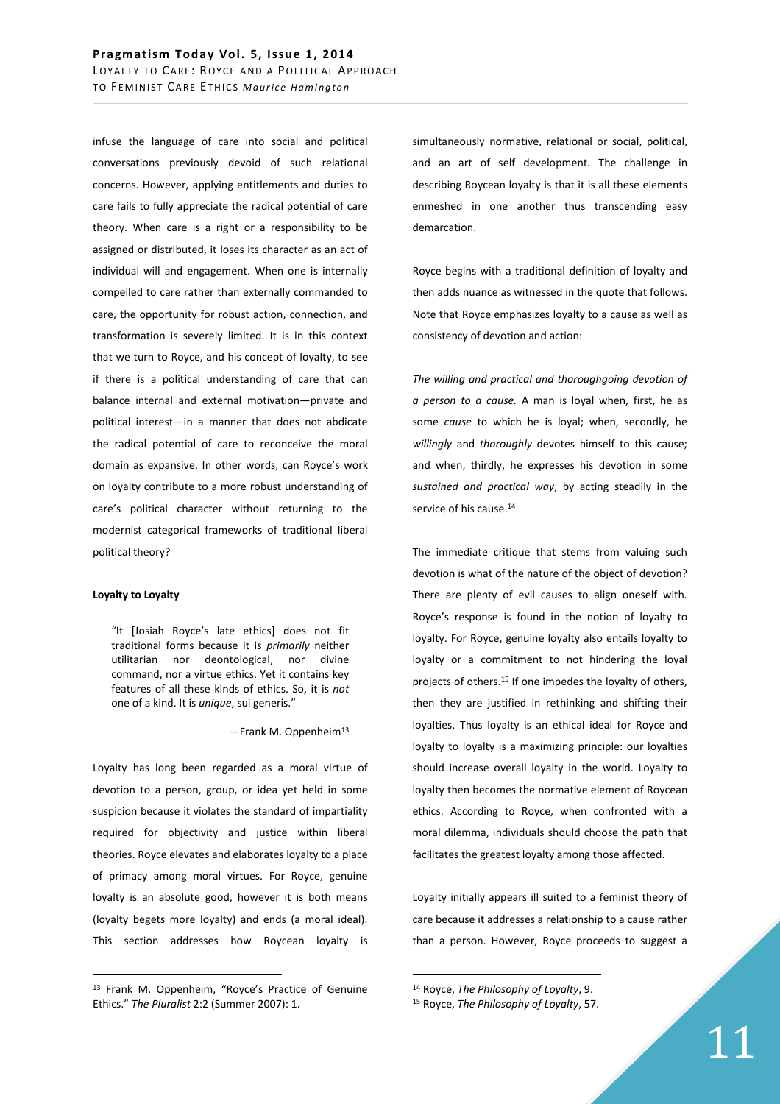infuse the language of care into social and political conversations previously devoid of such relational concerns. However, applying entitlements and duties to care fails to fully appreciate the radical potential of care theory. When care is a right or a responsibility to be assigned or distributed, it loses its character as an act of individual will and engagement. When one is internally compelled to care rather than externally commanded to care, the opportunity for robust action, connection, and transformation is severely limited. It is in this context that we turn to Royce, and his concept of loyalty, to see if there is a political understanding of care that can balance internal and external motivation—private and political interest—in a manner that does not abdicate the radical potential of care to reconceive the moral domain as expansive. In other words, can Royce's work on loyalty contribute to a more robust understanding of care's political character without returning to the modernist categorical frameworks of traditional liberal political theory?

## **Loyalty to Loyalty**

 $\overline{a}$ 

"It [Josiah Royce's late ethics] does not fit traditional forms because it is *primarily* neither utilitarian nor deontological, nor divine command, nor a virtue ethics. Yet it contains key features of all these kinds of ethics. So, it is *not* one of a kind. It is *unique*, sui generis."

 $-$ Frank M. Oppenheim<sup>13</sup>

Loyalty has long been regarded as a moral virtue of devotion to a person, group, or idea yet held in some suspicion because it violates the standard of impartiality required for objectivity and justice within liberal theories. Royce elevates and elaborates loyalty to a place of primacy among moral virtues. For Royce, genuine loyalty is an absolute good, however it is both means (loyalty begets more loyalty) and ends (a moral ideal). This section addresses how Roycean loyalty is

simultaneously normative, relational or social, political, and an art of self development. The challenge in describing Roycean loyalty is that it is all these elements enmeshed in one another thus transcending easy demarcation.

Royce begins with a traditional definition of loyalty and then adds nuance as witnessed in the quote that follows. Note that Royce emphasizes loyalty to a cause as well as consistency of devotion and action:

*The willing and practical and thoroughgoing devotion of a person to a cause.* A man is loyal when, first, he as some *cause* to which he is loyal; when, secondly, he *willingly* and *thoroughly* devotes himself to this cause; and when, thirdly, he expresses his devotion in some *sustained and practical way*, by acting steadily in the service of his cause.<sup>14</sup>

The immediate critique that stems from valuing such devotion is what of the nature of the object of devotion? There are plenty of evil causes to align oneself with. Royce's response is found in the notion of loyalty to loyalty. For Royce, genuine loyalty also entails loyalty to loyalty or a commitment to not hindering the loyal projects of others.<sup>15</sup> If one impedes the loyalty of others, then they are justified in rethinking and shifting their loyalties. Thus loyalty is an ethical ideal for Royce and loyalty to loyalty is a maximizing principle: our loyalties should increase overall loyalty in the world. Loyalty to loyalty then becomes the normative element of Roycean ethics. According to Royce, when confronted with a moral dilemma, individuals should choose the path that facilitates the greatest loyalty among those affected.

Loyalty initially appears ill suited to a feminist theory of care because it addresses a relationship to a cause rather than a person. However, Royce proceeds to suggest a

<sup>13</sup> Frank M. Oppenheim, "Royce's Practice of Genuine Ethics." *The Pluralist* 2:2 (Summer 2007): 1.

<sup>14</sup> Royce, *The Philosophy of Loyalty*, 9.

<sup>15</sup> Royce, *The Philosophy of Loyalty*, 57.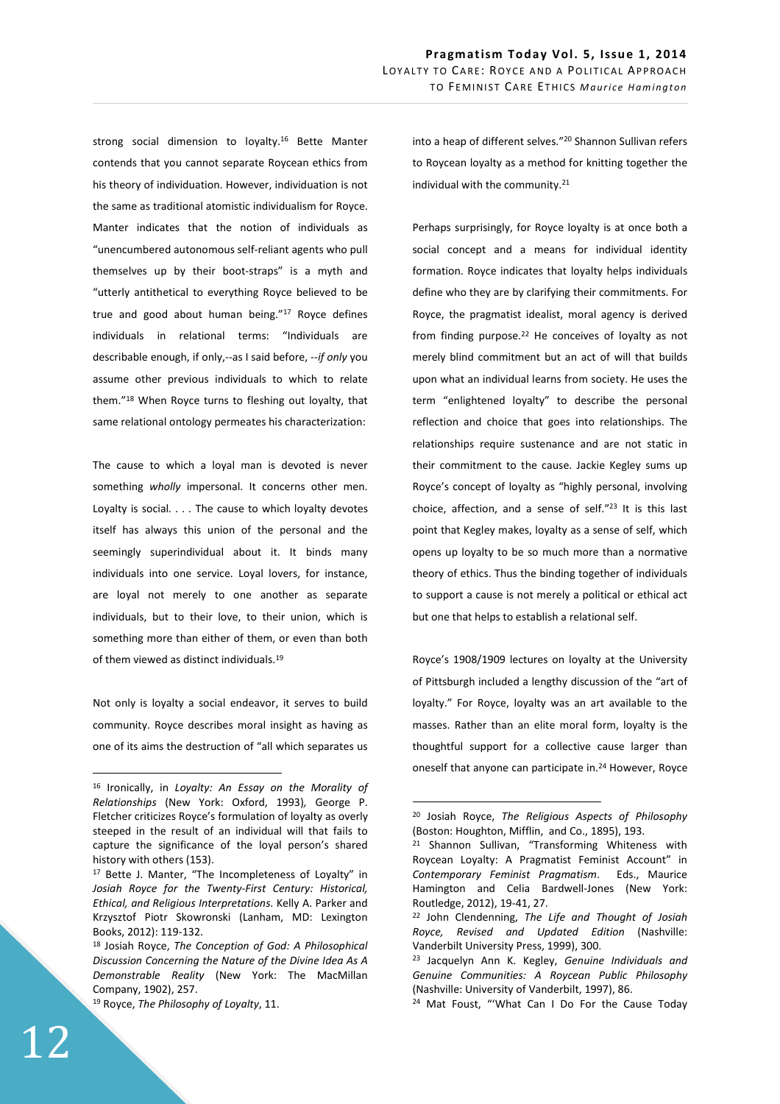strong social dimension to loyalty.<sup>16</sup> Bette Manter contends that you cannot separate Roycean ethics from his theory of individuation. However, individuation is not the same as traditional atomistic individualism for Royce. Manter indicates that the notion of individuals as "unencumbered autonomous self-reliant agents who pull themselves up by their boot-straps" is a myth and "utterly antithetical to everything Royce believed to be true and good about human being."<sup>17</sup> Royce defines individuals in relational terms: "Individuals are describable enough, if only,--as I said before, --*if only* you assume other previous individuals to which to relate them."<sup>18</sup> When Royce turns to fleshing out loyalty, that same relational ontology permeates his characterization:

The cause to which a loyal man is devoted is never something *wholly* impersonal. It concerns other men. Loyalty is social*. . . .* The cause to which loyalty devotes itself has always this union of the personal and the seemingly superindividual about it. It binds many individuals into one service. Loyal lovers, for instance, are loyal not merely to one another as separate individuals, but to their love, to their union, which is something more than either of them, or even than both of them viewed as distinct individuals.<sup>19</sup>

Not only is loyalty a social endeavor, it serves to build community. Royce describes moral insight as having as one of its aims the destruction of "all which separates us

Perhaps surprisingly, for Royce loyalty is at once both a social concept and a means for individual identity formation. Royce indicates that loyalty helps individuals define who they are by clarifying their commitments. For Royce, the pragmatist idealist, moral agency is derived from finding purpose.<sup>22</sup> He conceives of loyalty as not merely blind commitment but an act of will that builds upon what an individual learns from society. He uses the term "enlightened loyalty" to describe the personal reflection and choice that goes into relationships. The relationships require sustenance and are not static in their commitment to the cause. Jackie Kegley sums up Royce's concept of loyalty as "highly personal, involving choice, affection, and a sense of self."<sup>23</sup> It is this last point that Kegley makes, loyalty as a sense of self, which opens up loyalty to be so much more than a normative theory of ethics. Thus the binding together of individuals to support a cause is not merely a political or ethical act but one that helps to establish a relational self.

Royce's 1908/1909 lectures on loyalty at the University of Pittsburgh included a lengthy discussion of the "art of loyalty." For Royce, loyalty was an art available to the masses. Rather than an elite moral form, loyalty is the thoughtful support for a collective cause larger than oneself that anyone can participate in.<sup>24</sup> However, Royce

 $\overline{a}$ 

<sup>16</sup> Ironically, in *Loyalty: An Essay on the Morality of Relationships* (New York: Oxford, 1993)*,* George P. Fletcher criticizes Royce's formulation of loyalty as overly steeped in the result of an individual will that fails to capture the significance of the loyal person's shared history with others (153).

<sup>17</sup> Bette J. Manter, "The Incompleteness of Loyalty" in *Josiah Royce for the Twenty-First Century: Historical, Ethical, and Religious Interpretations*. Kelly A. Parker and Krzysztof Piotr Skowronski (Lanham, MD: Lexington Books, 2012): 119-132.

<sup>18</sup> Josiah Royce, *The Conception of God: A Philosophical Discussion Concerning the Nature of the Divine Idea As A Demonstrable Reality* (New York: The MacMillan Company, 1902), 257.

<sup>19</sup> Royce, *The Philosophy of Loyalty*, 11.

<sup>20</sup> Josiah Royce, *The Religious Aspects of Philosophy*  (Boston: Houghton, Mifflin, and Co., 1895), 193.

<sup>&</sup>lt;sup>21</sup> Shannon Sullivan, "Transforming Whiteness with Roycean Loyalty: A Pragmatist Feminist Account" in *Contemporary Feminist Pragmatism*. Eds., Maurice Hamington and Celia Bardwell-Jones (New York: Routledge, 2012), 19-41, 27.

<sup>22</sup> John Clendenning, *The Life and Thought of Josiah Royce, Revised and Updated Edition* (Nashville: Vanderbilt University Press, 1999), 300.

<sup>23</sup> Jacquelyn Ann K. Kegley, *Genuine Individuals and Genuine Communities: A Roycean Public Philosophy* (Nashville: University of Vanderbilt, 1997), 86.

<sup>24</sup> Mat Foust, "'What Can I Do For the Cause Today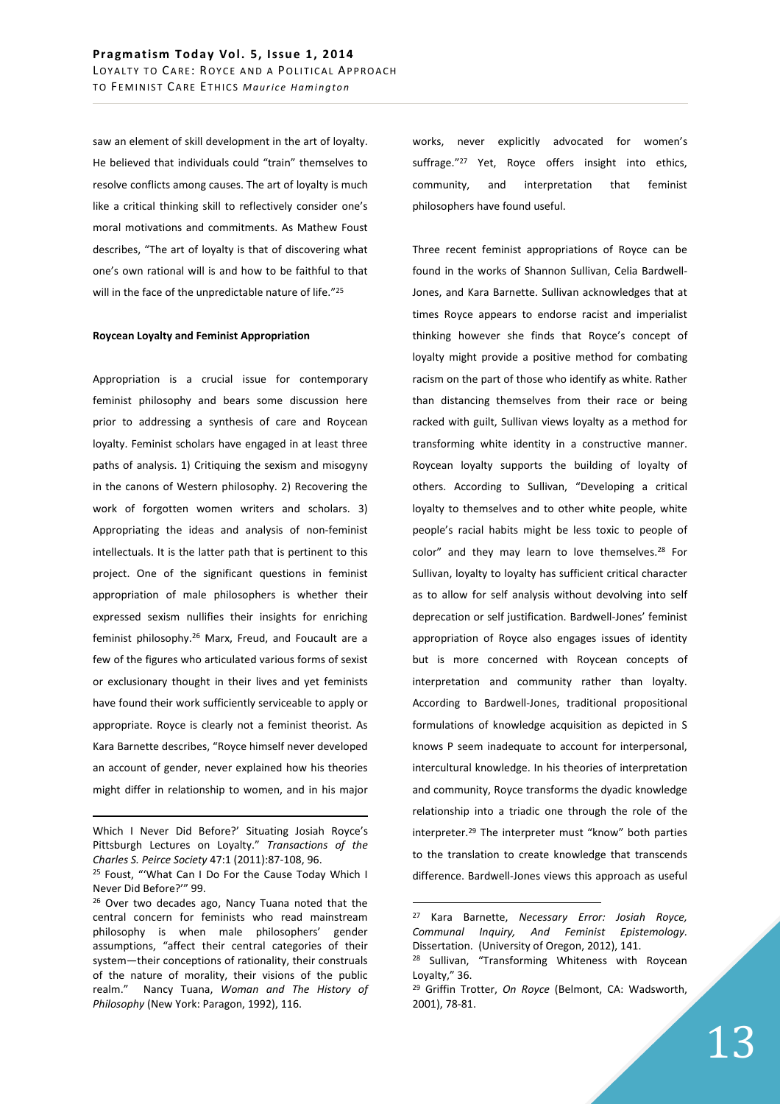saw an element of skill development in the art of loyalty. He believed that individuals could "train" themselves to resolve conflicts among causes. The art of loyalty is much like a critical thinking skill to reflectively consider one's moral motivations and commitments. As Mathew Foust describes, "The art of loyalty is that of discovering what one's own rational will is and how to be faithful to that will in the face of the unpredictable nature of life."25

## **Roycean Loyalty and Feminist Appropriation**

Appropriation is a crucial issue for contemporary feminist philosophy and bears some discussion here prior to addressing a synthesis of care and Roycean loyalty. Feminist scholars have engaged in at least three paths of analysis. 1) Critiquing the sexism and misogyny in the canons of Western philosophy. 2) Recovering the work of forgotten women writers and scholars. 3) Appropriating the ideas and analysis of non-feminist intellectuals. It is the latter path that is pertinent to this project. One of the significant questions in feminist appropriation of male philosophers is whether their expressed sexism nullifies their insights for enriching feminist philosophy.<sup>26</sup> Marx, Freud, and Foucault are a few of the figures who articulated various forms of sexist or exclusionary thought in their lives and yet feminists have found their work sufficiently serviceable to apply or appropriate. Royce is clearly not a feminist theorist. As Kara Barnette describes, "Royce himself never developed an account of gender, never explained how his theories might differ in relationship to women, and in his major

-

works, never explicitly advocated for women's suffrage."<sup>27</sup> Yet, Royce offers insight into ethics, community, and interpretation that feminist philosophers have found useful.

Three recent feminist appropriations of Royce can be found in the works of Shannon Sullivan, Celia Bardwell-Jones, and Kara Barnette. Sullivan acknowledges that at times Royce appears to endorse racist and imperialist thinking however she finds that Royce's concept of loyalty might provide a positive method for combating racism on the part of those who identify as white. Rather than distancing themselves from their race or being racked with guilt, Sullivan views loyalty as a method for transforming white identity in a constructive manner. Roycean loyalty supports the building of loyalty of others. According to Sullivan, "Developing a critical loyalty to themselves and to other white people, white people's racial habits might be less toxic to people of color" and they may learn to love themselves.<sup>28</sup> For Sullivan, loyalty to loyalty has sufficient critical character as to allow for self analysis without devolving into self deprecation or self justification. Bardwell-Jones' feminist appropriation of Royce also engages issues of identity but is more concerned with Roycean concepts of interpretation and community rather than loyalty. According to Bardwell-Jones, traditional propositional formulations of knowledge acquisition as depicted in S knows P seem inadequate to account for interpersonal, intercultural knowledge. In his theories of interpretation and community, Royce transforms the dyadic knowledge relationship into a triadic one through the role of the interpreter.<sup>29</sup> The interpreter must "know" both parties to the translation to create knowledge that transcends difference. Bardwell-Jones views this approach as useful

Which I Never Did Before?' Situating Josiah Royce's Pittsburgh Lectures on Loyalty." *Transactions of the Charles S. Peirce Society* 47:1 (2011):87-108, 96.

<sup>25</sup> Foust, "'What Can I Do For the Cause Today Which I Never Did Before?'" 99.

<sup>&</sup>lt;sup>26</sup> Over two decades ago, Nancy Tuana noted that the central concern for feminists who read mainstream philosophy is when male philosophers' gender assumptions, "affect their central categories of their system—their conceptions of rationality, their construals of the nature of morality, their visions of the public realm." Nancy Tuana, *Woman and The History of Philosophy* (New York: Paragon, 1992), 116.

<sup>27</sup> Kara Barnette, *Necessary Error: Josiah Royce, Communal Inquiry, And Feminist Epistemology.* Dissertation. (University of Oregon, 2012), 141.

<sup>&</sup>lt;sup>28</sup> Sullivan, "Transforming Whiteness with Roycean Loyalty," 36.

<sup>29</sup> Griffin Trotter, *On Royce* (Belmont, CA: Wadsworth, 2001), 78-81.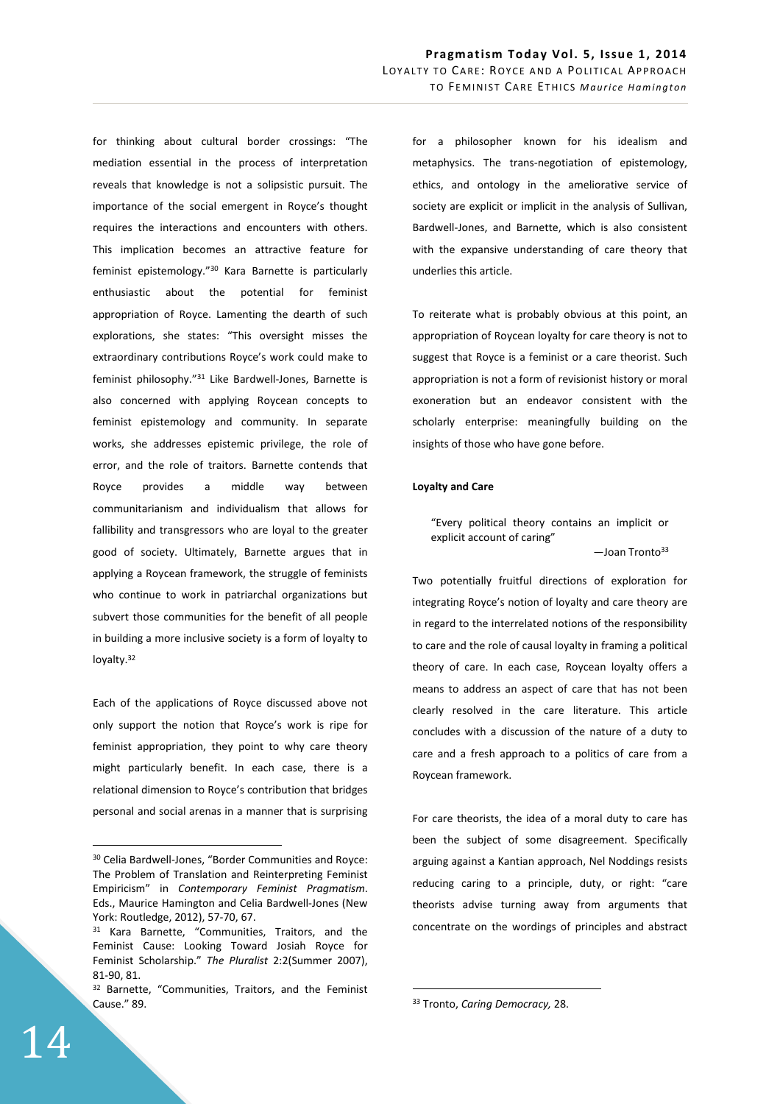for thinking about cultural border crossings: "The mediation essential in the process of interpretation reveals that knowledge is not a solipsistic pursuit. The importance of the social emergent in Royce's thought requires the interactions and encounters with others. This implication becomes an attractive feature for feminist epistemology."<sup>30</sup> Kara Barnette is particularly enthusiastic about the potential for feminist appropriation of Royce. Lamenting the dearth of such explorations, she states: "This oversight misses the extraordinary contributions Royce's work could make to feminist philosophy."<sup>31</sup> Like Bardwell-Jones, Barnette is also concerned with applying Roycean concepts to feminist epistemology and community. In separate works, she addresses epistemic privilege, the role of error, and the role of traitors. Barnette contends that Royce provides a middle way between communitarianism and individualism that allows for fallibility and transgressors who are loyal to the greater good of society. Ultimately, Barnette argues that in applying a Roycean framework, the struggle of feminists who continue to work in patriarchal organizations but subvert those communities for the benefit of all people in building a more inclusive society is a form of loyalty to loyalty.<sup>32</sup>

Each of the applications of Royce discussed above not only support the notion that Royce's work is ripe for feminist appropriation, they point to why care theory might particularly benefit. In each case, there is a relational dimension to Royce's contribution that bridges personal and social arenas in a manner that is surprising for a philosopher known for his idealism and metaphysics. The trans-negotiation of epistemology, ethics, and ontology in the ameliorative service of society are explicit or implicit in the analysis of Sullivan, Bardwell-Jones, and Barnette, which is also consistent with the expansive understanding of care theory that underlies this article.

To reiterate what is probably obvious at this point, an appropriation of Roycean loyalty for care theory is not to suggest that Royce is a feminist or a care theorist. Such appropriation is not a form of revisionist history or moral exoneration but an endeavor consistent with the scholarly enterprise: meaningfully building on the insights of those who have gone before.

#### **Loyalty and Care**

"Every political theory contains an implicit or explicit account of caring"  $-$ Joan Tronto $33$ 

Two potentially fruitful directions of exploration for integrating Royce's notion of loyalty and care theory are in regard to the interrelated notions of the responsibility to care and the role of causal loyalty in framing a political theory of care. In each case, Roycean loyalty offers a means to address an aspect of care that has not been clearly resolved in the care literature. This article concludes with a discussion of the nature of a duty to care and a fresh approach to a politics of care from a Roycean framework.

For care theorists, the idea of a moral duty to care has been the subject of some disagreement. Specifically arguing against a Kantian approach, Nel Noddings resists reducing caring to a principle, duty, or right: "care theorists advise turning away from arguments that concentrate on the wordings of principles and abstract

 $\overline{a}$ 

<sup>30</sup> Celia Bardwell-Jones, "Border Communities and Royce: The Problem of Translation and Reinterpreting Feminist Empiricism" in *Contemporary Feminist Pragmatism*. Eds., Maurice Hamington and Celia Bardwell-Jones (New York: Routledge, 2012), 57-70, 67.

<sup>&</sup>lt;sup>31</sup> Kara Barnette, "Communities, Traitors, and the Feminist Cause: Looking Toward Josiah Royce for Feminist Scholarship." *The Pluralist* 2:2(Summer 2007), 81-90, 81.

<sup>32</sup> Barnette, "Communities, Traitors, and the Feminist Cause." 89.

<sup>33</sup> Tronto, *Caring Democracy,* 28.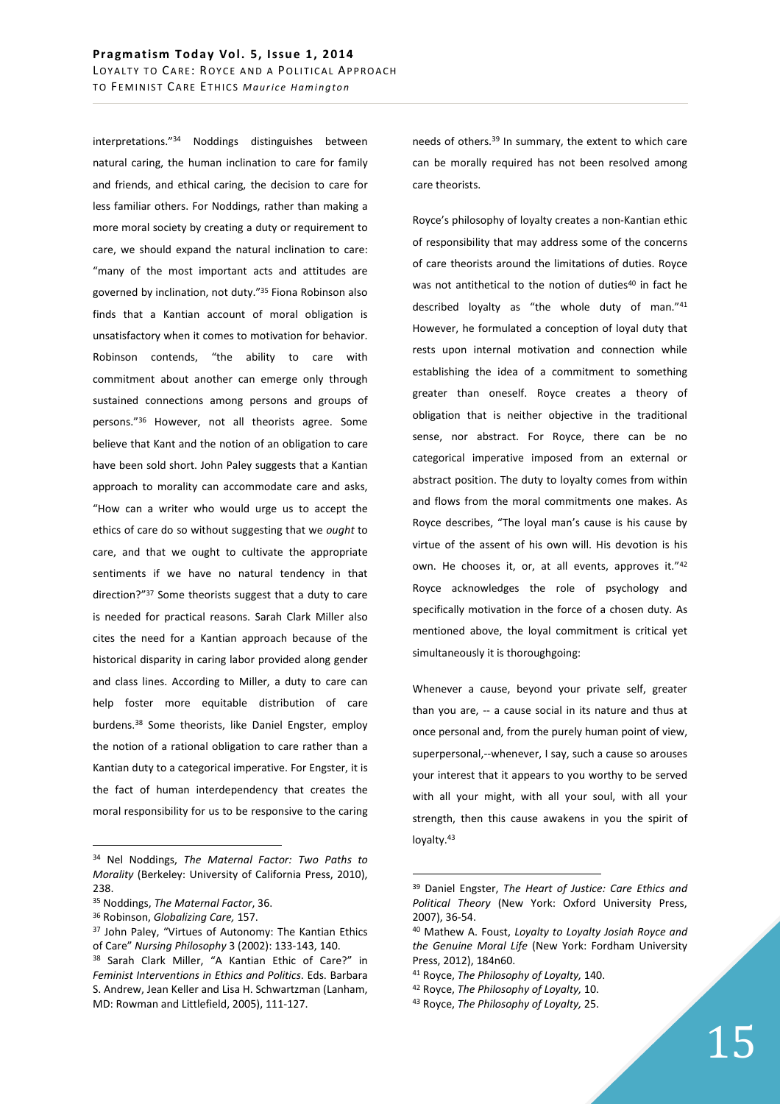interpretations."<sup>34</sup> Noddings distinguishes between natural caring, the human inclination to care for family and friends, and ethical caring, the decision to care for less familiar others. For Noddings, rather than making a more moral society by creating a duty or requirement to care, we should expand the natural inclination to care: "many of the most important acts and attitudes are governed by inclination, not duty."<sup>35</sup> Fiona Robinson also finds that a Kantian account of moral obligation is unsatisfactory when it comes to motivation for behavior. Robinson contends, "the ability to care with commitment about another can emerge only through sustained connections among persons and groups of persons."<sup>36</sup> However, not all theorists agree. Some believe that Kant and the notion of an obligation to care have been sold short. John Paley suggests that a Kantian approach to morality can accommodate care and asks, "How can a writer who would urge us to accept the ethics of care do so without suggesting that we *ought* to care, and that we ought to cultivate the appropriate sentiments if we have no natural tendency in that direction?"<sup>37</sup> Some theorists suggest that a duty to care is needed for practical reasons. Sarah Clark Miller also cites the need for a Kantian approach because of the historical disparity in caring labor provided along gender and class lines. According to Miller, a duty to care can help foster more equitable distribution of care burdens.<sup>38</sup> Some theorists, like Daniel Engster, employ the notion of a rational obligation to care rather than a Kantian duty to a categorical imperative. For Engster, it is the fact of human interdependency that creates the moral responsibility for us to be responsive to the caring

 $\overline{a}$ 

needs of others.<sup>39</sup> In summary, the extent to which care can be morally required has not been resolved among care theorists.

Royce's philosophy of loyalty creates a non-Kantian ethic of responsibility that may address some of the concerns of care theorists around the limitations of duties. Royce was not antithetical to the notion of duties<sup>40</sup> in fact he described loyalty as "the whole duty of man."<sup>41</sup> However, he formulated a conception of loyal duty that rests upon internal motivation and connection while establishing the idea of a commitment to something greater than oneself. Royce creates a theory of obligation that is neither objective in the traditional sense, nor abstract. For Royce, there can be no categorical imperative imposed from an external or abstract position. The duty to loyalty comes from within and flows from the moral commitments one makes. As Royce describes, "The loyal man's cause is his cause by virtue of the assent of his own will. His devotion is his own. He chooses it, or, at all events, approves it."42 Royce acknowledges the role of psychology and specifically motivation in the force of a chosen duty. As mentioned above, the loyal commitment is critical yet simultaneously it is thoroughgoing:

Whenever a cause, beyond your private self, greater than you are, -- a cause social in its nature and thus at once personal and, from the purely human point of view, superpersonal,--whenever, I say, such a cause so arouses your interest that it appears to you worthy to be served with all your might, with all your soul, with all your strength, then this cause awakens in you the spirit of loyalty.<sup>43</sup>

<sup>34</sup> Nel Noddings, *The Maternal Factor: Two Paths to Morality* (Berkeley: University of California Press, 2010), 238.

<sup>35</sup> Noddings, *The Maternal Factor*, 36.

<sup>36</sup> Robinson, *Globalizing Care,* 157.

<sup>&</sup>lt;sup>37</sup> John Paley, "Virtues of Autonomy: The Kantian Ethics of Care" *Nursing Philosophy* 3 (2002): 133-143, 140.

<sup>38</sup> Sarah Clark Miller, "A Kantian Ethic of Care?" in *Feminist Interventions in Ethics and Politics*. Eds. Barbara S. Andrew, Jean Keller and Lisa H. Schwartzman (Lanham, MD: Rowman and Littlefield, 2005), 111-127.

<sup>39</sup> Daniel Engster, *The Heart of Justice: Care Ethics and Political Theory* (New York: Oxford University Press, 2007), 36-54.

<sup>40</sup> Mathew A. Foust, *Loyalty to Loyalty Josiah Royce and the Genuine Moral Life* (New York: Fordham University Press, 2012), 184n60.

<sup>41</sup> Royce, *The Philosophy of Loyalty,* 140.

<sup>42</sup> Royce, *The Philosophy of Loyalty,* 10.

<sup>43</sup> Royce, *The Philosophy of Loyalty,* 25.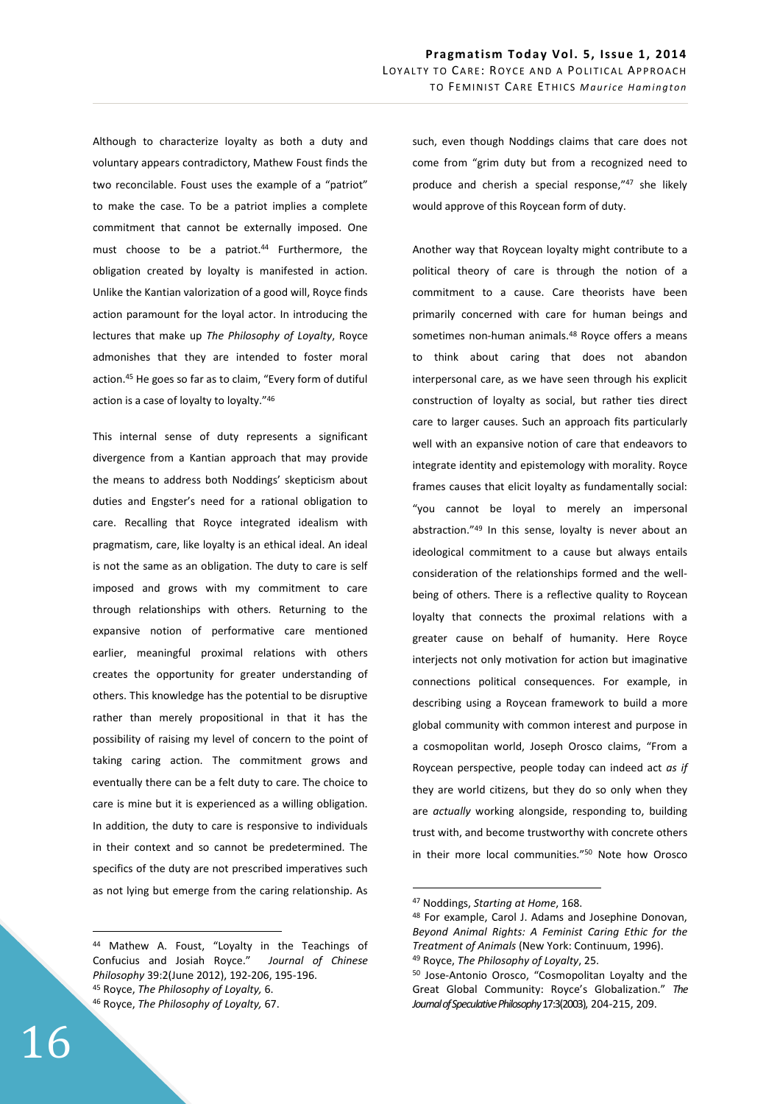Although to characterize loyalty as both a duty and voluntary appears contradictory, Mathew Foust finds the two reconcilable. Foust uses the example of a "patriot" to make the case. To be a patriot implies a complete commitment that cannot be externally imposed. One must choose to be a patriot.<sup>44</sup> Furthermore, the obligation created by loyalty is manifested in action. Unlike the Kantian valorization of a good will, Royce finds action paramount for the loyal actor. In introducing the lectures that make up *The Philosophy of Loyalty*, Royce admonishes that they are intended to foster moral action.<sup>45</sup> He goes so far as to claim, "Every form of dutiful action is a case of loyalty to loyalty."<sup>46</sup>

This internal sense of duty represents a significant divergence from a Kantian approach that may provide the means to address both Noddings' skepticism about duties and Engster's need for a rational obligation to care. Recalling that Royce integrated idealism with pragmatism, care, like loyalty is an ethical ideal. An ideal is not the same as an obligation. The duty to care is self imposed and grows with my commitment to care through relationships with others. Returning to the expansive notion of performative care mentioned earlier, meaningful proximal relations with others creates the opportunity for greater understanding of others. This knowledge has the potential to be disruptive rather than merely propositional in that it has the possibility of raising my level of concern to the point of taking caring action. The commitment grows and eventually there can be a felt duty to care. The choice to care is mine but it is experienced as a willing obligation. In addition, the duty to care is responsive to individuals in their context and so cannot be predetermined. The specifics of the duty are not prescribed imperatives such as not lying but emerge from the caring relationship. As

<sup>44</sup> Mathew A. Foust, "Loyalty in the Teachings of Confucius and Josiah Royce." *Journal of Chinese Philosophy* 39:2(June 2012), 192-206, 195-196. <sup>45</sup> Royce, *The Philosophy of Loyalty,* 6.

such, even though Noddings claims that care does not come from "grim duty but from a recognized need to produce and cherish a special response,"<sup>47</sup> she likely would approve of this Roycean form of duty.

Another way that Roycean loyalty might contribute to a political theory of care is through the notion of a commitment to a cause. Care theorists have been primarily concerned with care for human beings and sometimes non-human animals.<sup>48</sup> Royce offers a means to think about caring that does not abandon interpersonal care, as we have seen through his explicit construction of loyalty as social, but rather ties direct care to larger causes. Such an approach fits particularly well with an expansive notion of care that endeavors to integrate identity and epistemology with morality. Royce frames causes that elicit loyalty as fundamentally social: "you cannot be loyal to merely an impersonal abstraction."<sup>49</sup> In this sense, loyalty is never about an ideological commitment to a cause but always entails consideration of the relationships formed and the wellbeing of others. There is a reflective quality to Roycean loyalty that connects the proximal relations with a greater cause on behalf of humanity. Here Royce interjects not only motivation for action but imaginative connections political consequences. For example, in describing using a Roycean framework to build a more global community with common interest and purpose in a cosmopolitan world, Joseph Orosco claims, "From a Roycean perspective, people today can indeed act *as if* they are world citizens, but they do so only when they are *actually* working alongside, responding to, building trust with, and become trustworthy with concrete others in their more local communities."<sup>50</sup> Note how Orosco

 $\overline{a}$ 

<sup>46</sup> Royce, *The Philosophy of Loyalty,* 67.

<sup>47</sup> Noddings, *Starting at Home*, 168.

<sup>48</sup> For example, Carol J. Adams and Josephine Donovan, *Beyond Animal Rights: A Feminist Caring Ethic for the Treatment of Animals* (New York: Continuum, 1996). <sup>49</sup> Royce, *The Philosophy of Loyalty*, 25.

<sup>50</sup> Jose-Antonio Orosco, "Cosmopolitan Loyalty and the Great Global Community: Royce's Globalization." *The Journal of Speculative Philosophy* 17:3(2003), 204-215, 209.